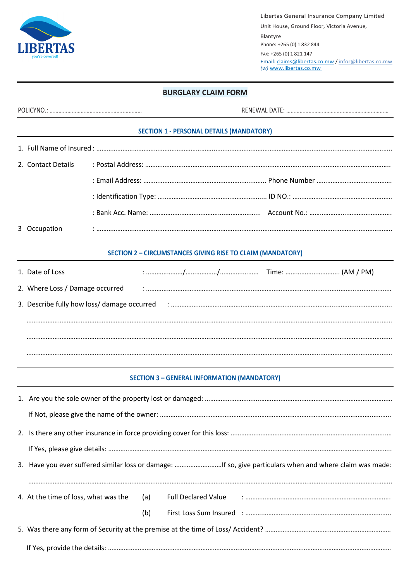Libertas General Insurance Company Limited

Unit House, Ground Floor, Victoria Avenue, Blantyre Phone: +265 (0) 1 832 844 FAX: +265 (0) 1 821 147 Email: claims@libertas.co.mw / infor@libertas.co.mw *(w)* www.libertas.co.mw

## **BURGLARY CLAIM FORM**

| <b>SECTION 1 - PERSONAL DETAILS (MANDATORY)</b>                                                                |  |  |  |  |  |  |  |
|----------------------------------------------------------------------------------------------------------------|--|--|--|--|--|--|--|
|                                                                                                                |  |  |  |  |  |  |  |
| 2. Contact Details                                                                                             |  |  |  |  |  |  |  |
|                                                                                                                |  |  |  |  |  |  |  |
|                                                                                                                |  |  |  |  |  |  |  |
|                                                                                                                |  |  |  |  |  |  |  |
| 3 Occupation                                                                                                   |  |  |  |  |  |  |  |
| <b>SECTION 2 - CIRCUMSTANCES GIVING RISE TO CLAIM (MANDATORY)</b>                                              |  |  |  |  |  |  |  |
| 1. Date of Loss                                                                                                |  |  |  |  |  |  |  |
| 2. Where Loss / Damage occurred (2000) (2000) (2000) (2000) (2000) (2000) (2000) (2000) (2000) (2000) (2000) ( |  |  |  |  |  |  |  |
|                                                                                                                |  |  |  |  |  |  |  |
|                                                                                                                |  |  |  |  |  |  |  |
|                                                                                                                |  |  |  |  |  |  |  |
|                                                                                                                |  |  |  |  |  |  |  |
| <b>SECTION 3 - GENERAL INFORMATION (MANDATORY)</b>                                                             |  |  |  |  |  |  |  |

|  |     |  | 3. Have you ever suffered similar loss or damage: If so, give particulars when and where claim was made: |  |
|--|-----|--|----------------------------------------------------------------------------------------------------------|--|
|  |     |  |                                                                                                          |  |
|  | (b) |  |                                                                                                          |  |
|  |     |  |                                                                                                          |  |
|  |     |  |                                                                                                          |  |

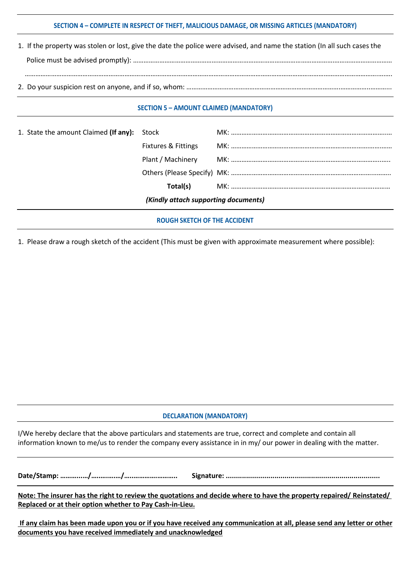## **SECTION 4 – COMPLETE IN RESPECT OF THEFT, MALICIOUS DAMAGE, OR MISSING ARTICLES (MANDATORY)**

| 1. If the property was stolen or lost, give the date the police were advised, and name the station (In all such cases the |
|---------------------------------------------------------------------------------------------------------------------------|
|                                                                                                                           |
|                                                                                                                           |
|                                                                                                                           |

#### **SECTION 5 – AMOUNT CLAIMED (MANDATORY)**

| 1. State the amount Claimed (If any): Stock |                                |  |  |  |  |
|---------------------------------------------|--------------------------------|--|--|--|--|
|                                             | <b>Fixtures &amp; Fittings</b> |  |  |  |  |
|                                             |                                |  |  |  |  |
|                                             |                                |  |  |  |  |
|                                             | Total(s)                       |  |  |  |  |
| (Kindly attach supporting documents)        |                                |  |  |  |  |
| <b>ROUGH SKETCH OF THE ACCIDENT</b>         |                                |  |  |  |  |

1. Please draw a rough sketch of the accident (This must be given with approximate measurement where possible):

### **DECLARATION (MANDATORY)**

I/We hereby declare that the above particulars and statements are true, correct and complete and contain all information known to me/us to render the company every assistance in in my/ our power in dealing with the matter.

**Date/Stamp: ………...…/…..….….…/…..………….……….. Signature: ............................................................................**

**Note: The insurer has the right to review the quotations and decide where to have the property repaired/ Reinstated/ Replaced or at their option whether to Pay Cash-in-Lieu.**

**If any claim has been made upon you or if you have received any communication at all, please send any letter or other documents you have received immediately and unacknowledged**